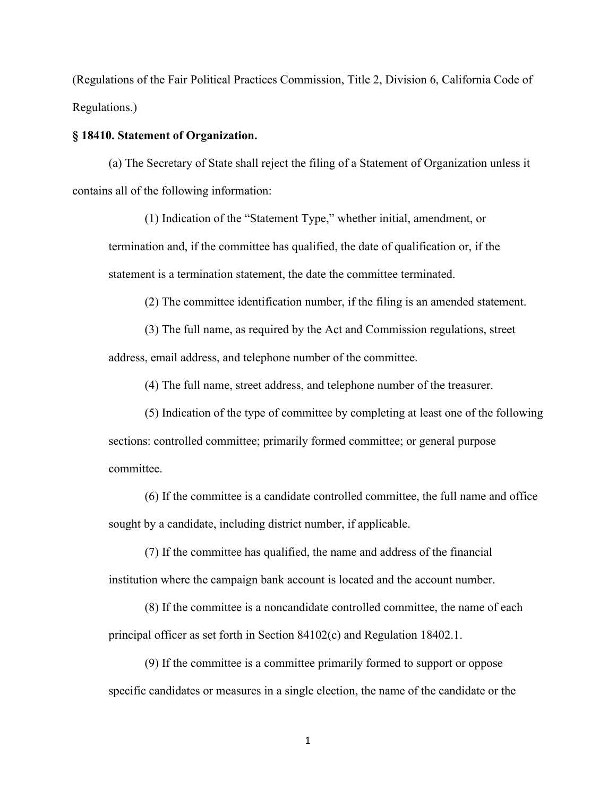(Regulations of the Fair Political Practices Commission, Title 2, Division 6, California Code of Regulations.)

## **§ 18410. Statement of Organization.**

(a) The Secretary of State shall reject the filing of a Statement of Organization unless it contains all of the following information:

(1) Indication of the "Statement Type," whether initial, amendment, or termination and, if the committee has qualified, the date of qualification or, if the statement is a termination statement, the date the committee terminated.

(2) The committee identification number, if the filing is an amended statement.

(3) The full name, as required by the Act and Commission regulations, street address, email address, and telephone number of the committee.

(4) The full name, street address, and telephone number of the treasurer.

(5) Indication of the type of committee by completing at least one of the following sections: controlled committee; primarily formed committee; or general purpose committee.

(6) If the committee is a candidate controlled committee, the full name and office sought by a candidate, including district number, if applicable.

(7) If the committee has qualified, the name and address of the financial institution where the campaign bank account is located and the account number.

(8) If the committee is a noncandidate controlled committee, the name of each principal officer as set forth in Section 84102(c) and Regulation 18402.1.

(9) If the committee is a committee primarily formed to support or oppose specific candidates or measures in a single election, the name of the candidate or the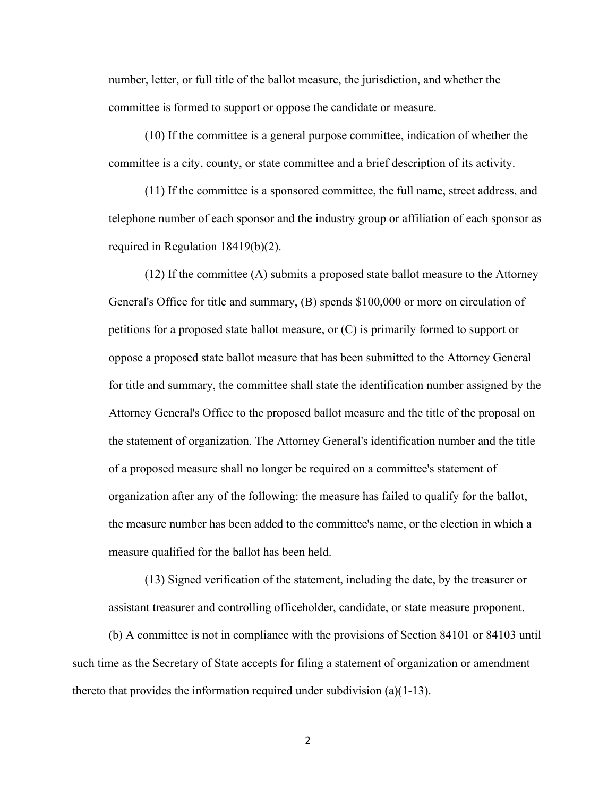number, letter, or full title of the ballot measure, the jurisdiction, and whether the committee is formed to support or oppose the candidate or measure.

(10) If the committee is a general purpose committee, indication of whether the committee is a city, county, or state committee and a brief description of its activity.

(11) If the committee is a sponsored committee, the full name, street address, and telephone number of each sponsor and the industry group or affiliation of each sponsor as required in Regulation 18419(b)(2).

(12) If the committee (A) submits a proposed state ballot measure to the Attorney General's Office for title and summary, (B) spends \$100,000 or more on circulation of petitions for a proposed state ballot measure, or (C) is primarily formed to support or oppose a proposed state ballot measure that has been submitted to the Attorney General for title and summary, the committee shall state the identification number assigned by the Attorney General's Office to the proposed ballot measure and the title of the proposal on the statement of organization. The Attorney General's identification number and the title of a proposed measure shall no longer be required on a committee's statement of organization after any of the following: the measure has failed to qualify for the ballot, the measure number has been added to the committee's name, or the election in which a measure qualified for the ballot has been held.

(13) Signed verification of the statement, including the date, by the treasurer or assistant treasurer and controlling officeholder, candidate, or state measure proponent.

(b) A committee is not in compliance with the provisions of Section 84101 or 84103 until such time as the Secretary of State accepts for filing a statement of organization or amendment thereto that provides the information required under subdivision (a)(1-13).

2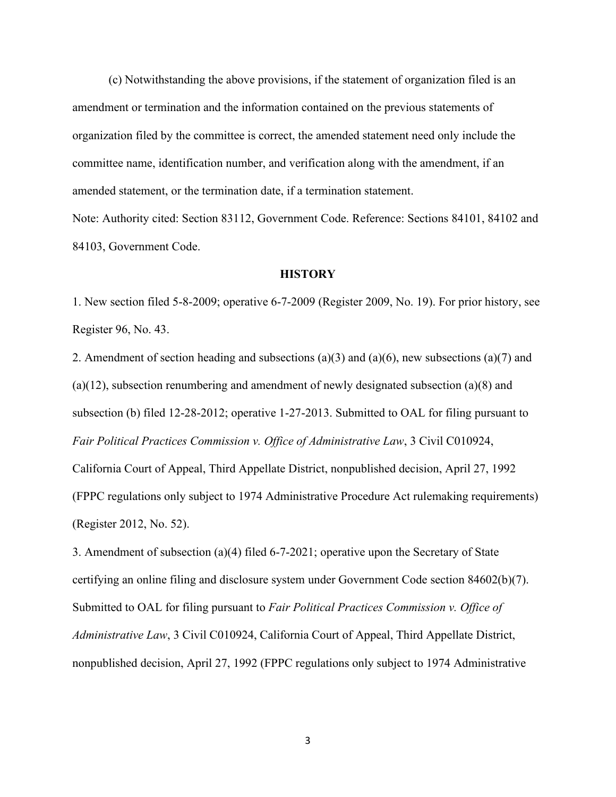(c) Notwithstanding the above provisions, if the statement of organization filed is an amendment or termination and the information contained on the previous statements of organization filed by the committee is correct, the amended statement need only include the committee name, identification number, and verification along with the amendment, if an amended statement, or the termination date, if a termination statement. Note: Authority cited: Section 83112, Government Code. Reference: Sections 84101, 84102 and

84103, Government Code.

## **HISTORY**

1. New section filed 5-8-2009; operative 6-7-2009 (Register 2009, No. 19). For prior history, see Register 96, No. 43.

2. Amendment of section heading and subsections (a)(3) and (a)(6), new subsections (a)(7) and (a)(12), subsection renumbering and amendment of newly designated subsection (a)(8) and subsection (b) filed 12-28-2012; operative 1-27-2013. Submitted to OAL for filing pursuant to *Fair Political Practices Commission v. Office of Administrative Law*, 3 Civil C010924, California Court of Appeal, Third Appellate District, nonpublished decision, April 27, 1992 (FPPC regulations only subject to 1974 Administrative Procedure Act rulemaking requirements) (Register 2012, No. 52).

3. Amendment of subsection (a)(4) filed 6-7-2021; operative upon the Secretary of State certifying an online filing and disclosure system under Government Code section 84602(b)(7). Submitted to OAL for filing pursuant to *Fair Political Practices Commission v. Office of Administrative Law*, 3 Civil C010924, California Court of Appeal, Third Appellate District, nonpublished decision, April 27, 1992 (FPPC regulations only subject to 1974 Administrative